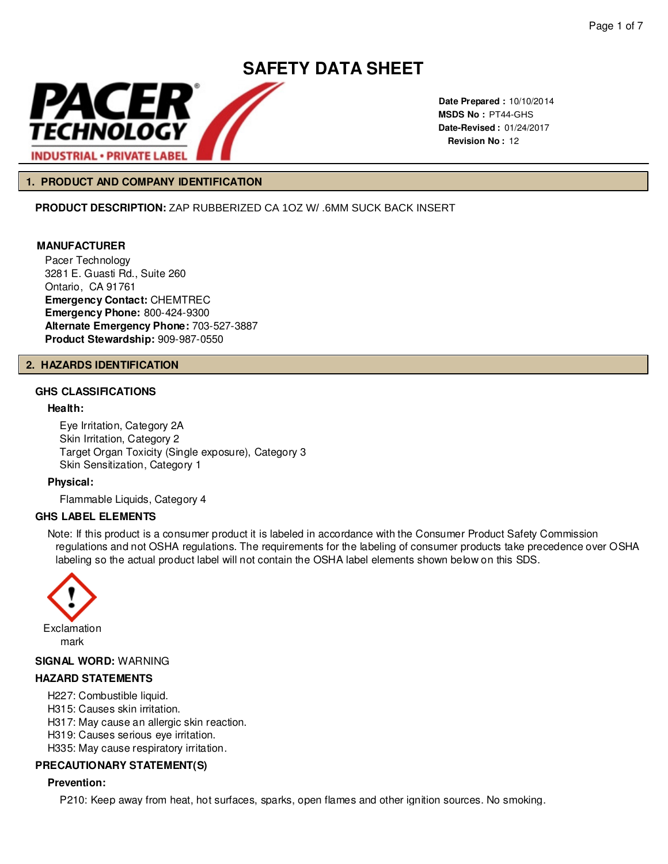

**Date Prepared :** 10/10/2014 **MSDS No :**  PT44-GHS **Date-Revised :** 01/24/2017 **Revision No :** 12

#### **1. PRODUCT AND COMPANY IDENTIFICATION**

**PRODUCT DESCRIPTION:** ZAP RUBBERIZED CA 1OZ W/ .6MM SUCK BACK INSERT

#### **MANUFACTURER**

Pacer Technology 3281 E. Guasti Rd., Suite 260 Ontario, CA 91761 **Emergency Contact:** CHEMTREC **Emergency Phone:** 800-424-9300 **Alternate Emergency Phone:** 703-527-3887 **Product Stewardship:** 909-987-0550

#### **2. HAZARDS IDENTIFICATION**

#### **GHS CLASSIFICATIONS**

#### **Health:**

Eye Irritation, Category 2A Skin Irritation, Category 2 Target Organ Toxicity (Single exposure), Category 3 Skin Sensitization, Category 1

**Physical:**

Flammable Liquids, Category 4

#### **GHS LABEL ELEMENTS**

Note: If this product is a consumer product it is labeled in accordance with the Consumer Product Safety Commission regulations and not OSHA regulations. The requirements for the labeling of consumer products take precedence over OSHA labeling so the actual product label will not contain the OSHA label elements shown below on this SDS.



### **SIGNAL WORD:** WARNING

#### **HAZARD STATEMENTS**

- H227: Combustible liquid.
- H315: Causes skin irritation.
- H317: May cause an allergic skin reaction.
- H319: Causes serious eye irritation.
- H335: May cause respiratory irritation.

#### **PRECAUTIONARY STATEMENT(S)**

#### **Prevention:**

P210: Keep away from heat, hot surfaces, sparks, open flames and other ignition sources. No smoking.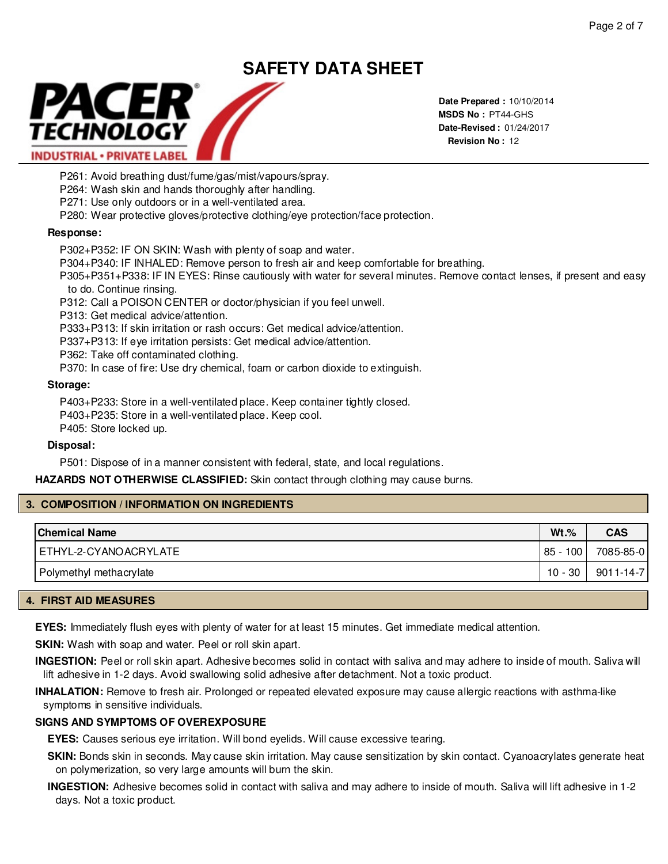

**Date Prepared :** 10/10/2014 **MSDS No :**  PT44-GHS**Date-Revised :** 01/24/2017 **Revision No :** 12

P261: Avoid breathing dust/fume/gas/mist/vapours/spray.

P264: Wash skin and hands thoroughly after handling.

P271: Use only outdoors or in a well-ventilated area.

P280: Wear protective gloves/protective clothing/eye protection/face protection.

# **Response:**

P302+P352: IF ON SKIN: Wash with plenty of soap and water.

P304+P340: IF INHALED: Remove person to fresh air and keep comfortable for breathing.

P305+P351+P338: IF IN EYES: Rinse cautiously with water for several minutes. Remove contact lenses, if present and easy to do. Continue rinsing.

P312: Call a POISON CENTER or doctor/physician if you feel unwell.

P313: Get medical advice/attention.

P333+P313: If skin irritation or rash occurs: Get medical advice/attention.

P337+P313: If eye irritation persists: Get medical advice/attention.

P362: Take off contaminated clothing.

P370: In case of fire: Use dry chemical, foam or carbon dioxide to extinguish.

# **Storage:**

P403+P233: Store in a well-ventilated place. Keep container tightly closed. P403+P235: Store in a well-ventilated place. Keep cool. P405: Store locked up.

# **Disposal:**

P501: Dispose of in a manner consistent with federal, state, and local regulations.

**HAZARDS NOT OTHERWISE CLASSIFIED:** Skin contact through clothing may cause burns.

# **3. COMPOSITION / INFORMATION ON INGREDIENTS**

| <b>Chemical Name</b>    | $Wt.\%$  | <b>CAS</b>      |
|-------------------------|----------|-----------------|
| ETHYL-2-CYANOACRYLATE   | 85 - 100 | 7085-85-0       |
| Polymethyl methacrylate | 10 - 30  | $9011 - 14 - 7$ |

# **4. FIRST AID MEASURES**

**EYES:** Immediately flush eyes with plenty of water for at least 15 minutes. Get immediate medical attention.

**SKIN:** Wash with soap and water. Peel or roll skin apart.

**INGESTION:** Peel or roll skin apart. Adhesive becomes solid in contact with saliva and may adhere to inside of mouth. Saliva will lift adhesive in 1-2 days. Avoid swallowing solid adhesive after detachment. Not a toxic product.

**INHALATION:** Remove to fresh air. Prolonged or repeated elevated exposure may cause allergic reactions with asthma-like symptoms in sensitive individuals.

# **SIGNS AND SYMPTOMS OF OVEREXPOSURE**

**EYES:** Causes serious eye irritation. Will bond eyelids. Will cause excessive tearing.

**SKIN:** Bonds skin in seconds. May cause skin irritation. May cause sensitization by skin contact. Cyanoacrylates generate heat on polymerization, so very large amounts will burn the skin.

**INGESTION:** Adhesive becomes solid in contact with saliva and may adhere to inside of mouth. Saliva will lift adhesive in 1-2 days. Not a toxic product.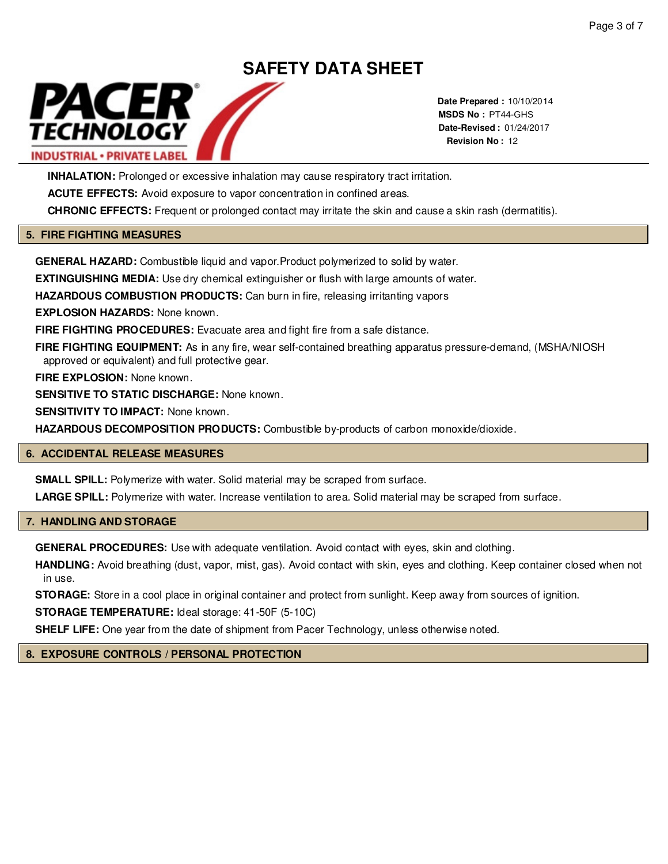

**Date Prepared :** 10/10/2014 **MSDS No :**  PT44-GHS**Date-Revised :** 01/24/2017 **Revision No :** 12

**INHALATION:** Prolonged or excessive inhalation may cause respiratory tract irritation.

ACUTE EFFECTS: Avoid exposure to vapor concentration in confined areas.

**CHRONIC EFFECTS:** Frequent or prolonged contact may irritate the skin and cause a skin rash (dermatitis).

#### **5. FIRE FIGHTING MEASURES**

**GENERAL HAZARD:** Combustible liquid and vapor.Product polymerized to solid by water.

**EXTINGUISHING MEDIA:** Use dry chemical extinguisher or flush with large amounts of water.

**HAZARDOUS COMBUSTION PRODUCTS:** Can burn in fire, releasing irritanting vapors

**EXPLOSION HAZARDS:** None known.

**FIRE FIGHTING PROCEDURES:** Evacuate area and fight fire from a safe distance.

**FIRE FIGHTING EQUIPMENT:** As in any fire, wear self-contained breathing apparatus pressure-demand, (MSHA/NIOSH approved or equivalent) and full protective gear.

**FIRE EXPLOSION:** None known.

**SENSITIVE TO STATIC DISCHARGE:** None known.

**SENSITIVITY TO IMPACT:** None known.

**HAZARDOUS DECOMPOSITION PRODUCTS:** Combustible by-products of carbon monoxide/dioxide.

#### **6. ACCIDENTAL RELEASE MEASURES**

**SMALL SPILL:** Polymerize with water. Solid material may be scraped from surface.

**LARGE SPILL:** Polymerize with water. Increase ventilation to area. Solid material may be scraped from surface.

#### **7. HANDLING AND STORAGE**

**GENERAL PROCEDURES:** Use with adequate ventilation. Avoid contact with eyes, skin and clothing.

**HANDLING:** Avoid breathing (dust, vapor, mist, gas). Avoid contact with skin, eyes and clothing. Keep container closed when not in use.

**STORAGE:** Store in a cool place in original container and protect from sunlight. Keep away from sources of ignition.

**STORAGE TEMPERATURE:** Ideal storage: 41-50F (5-10C)

**SHELF LIFE:** One year from the date of shipment from Pacer Technology, unless otherwise noted.

#### **8. EXPOSURE CONTROLS / PERSONAL PROTECTION**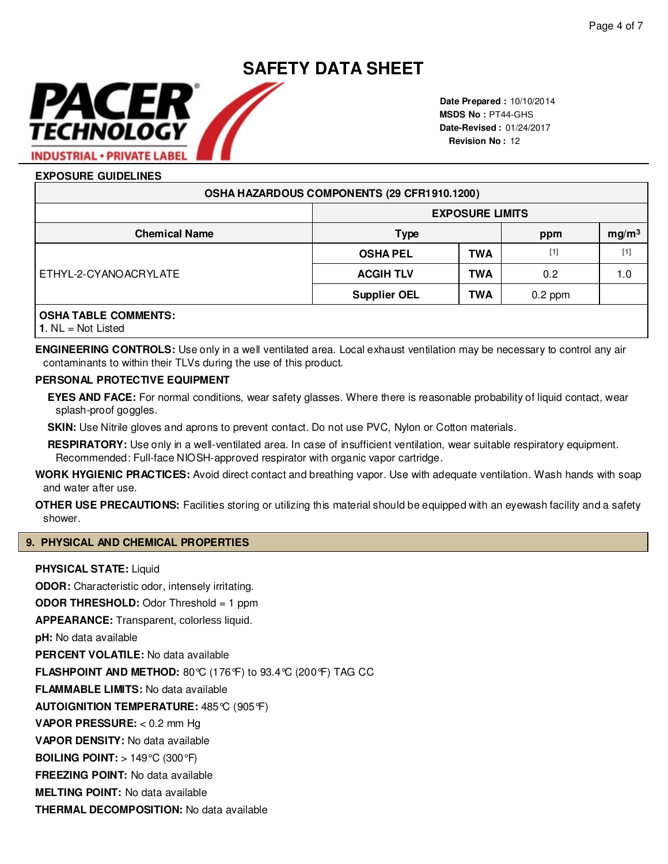# **SAFETY DATA SHEET** PACER TECHNOLOGY **INDUSTRIAL · PRIVATE LABEL**

**Date Prepared :** 10/10/2014 **MSDS No :**  PT44-GHS **Date-Revised :** 01/24/2017 **Revision No :** 12

# **EXPOSURE GUIDELINES**

| OSHA HAZARDOUS COMPONENTS (29 CFR1910.1200) |                     |                        |                          |                                                                                                                                                                                |  |
|---------------------------------------------|---------------------|------------------------|--------------------------|--------------------------------------------------------------------------------------------------------------------------------------------------------------------------------|--|
|                                             |                     | <b>EXPOSURE LIMITS</b> |                          |                                                                                                                                                                                |  |
| <b>Chemical Name</b>                        | <b>Type</b>         |                        | mg/m <sup>3</sup><br>ppm |                                                                                                                                                                                |  |
| ETHYL-2-CYANOACRYLATE                       | <b>OSHA PEL</b>     | <b>TWA</b>             | $[1]$                    | $[1] % \includegraphics[width=0.9\columnwidth]{figures/fig_10.pdf} \caption{The figure shows the number of times of the estimators in the left and right.} \label{fig:time} %$ |  |
|                                             | <b>ACGIH TLV</b>    | <b>TWA</b>             | 0.2                      | 1.0                                                                                                                                                                            |  |
|                                             | <b>Supplier OEL</b> | <b>TWA</b>             | $0.2$ ppm                |                                                                                                                                                                                |  |
| <b>OSHA TABLE COMMENTS:</b>                 |                     |                        |                          |                                                                                                                                                                                |  |

**1**. NL = Not Listed

**ENGINEERING CONTROLS:** Use only in a well ventilated area. Local exhaust ventilation may be necessary to control any air contaminants to within their TLVs during the use of this product.

#### **PERSONAL PROTECTIVE EQUIPMENT**

**EYES AND FACE:** For normal conditions, wear safety glasses. Where there is reasonable probability of liquid contact, wear splash-proof goggles.

**SKIN:** Use Nitrile gloves and aprons to prevent contact. Do not use PVC, Nylon or Cotton materials.

**RESPIRATORY:** Use only in a well-ventilated area. In case of insufficient ventilation, wear suitable respiratory equipment. Recommended: Full-face NIOSH-approved respirator with organic vapor cartridge.

**WORK HYGIENIC PRACTICES:** Avoid direct contact and breathing vapor. Use with adequate ventilation. Wash hands with soap and water after use.

**OTHER USE PRECAUTIONS:** Facilities storing or utilizing this material should be equipped with an eyewash facility and a safety shower.

#### **9. PHYSICAL AND CHEMICAL PROPERTIES**

**THERMAL DECOMPOSITION:** No data available

#### **PHYSICAL STATE:** Liquid

**ODOR:** Characteristic odor, intensely irritating. **ODOR THRESHOLD:** Odor Threshold = 1 ppm **APPEARANCE:** Transparent, colorless liquid.**pH:** No data available **PERCENT VOLATILE:** No data available **FLASHPOINT AND METHOD:** 80°C (176°F) to 93.4°C (200°F) TAG CC **FLAMMABLE LIMITS:** No data available **AUTOIGNITION TEMPERATURE:** 485°C (905°F) **VAPOR PRESSURE:** < 0.2 mm Hg **VAPOR DENSITY:** No data available **BOILING POINT:** > 149°C (300°F) **FREEZING POINT:** No data available **MELTING POINT:** No data available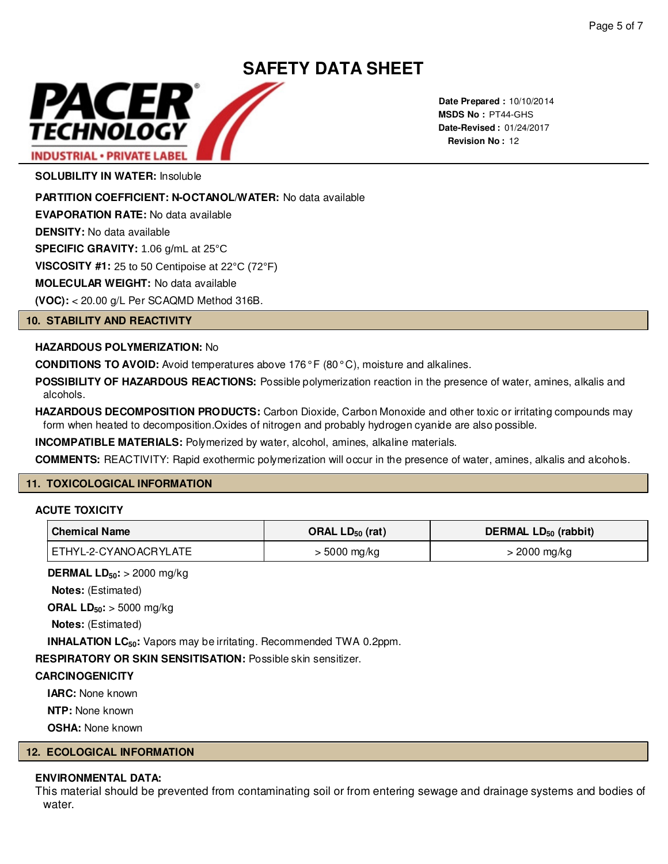

**Date Prepared :** 10/10/2014 **MSDS No : PT44-GHS Date-Revised :** 01/24/2017 **Revision No :** 12

**SOLUBILITY IN WATER:** Insoluble

**PARTITION COEFFICIENT: N-OCTANOL/WATER:** No data available

**EVAPORATION RATE:** No data available

**DENSITY:** No data available

**SPECIFIC GRAVITY:** 1.06 g/mL at 25°C

**VISCOSITY #1:** 25 to 50 Centipoise at 22°C (72°F)

**MOLECULAR WEIGHT:** No data available

**(VOC):** < 20.00 g/L Per SCAQMD Method 316B.

#### **10. STABILITY AND REACTIVITY**

### **HAZARDOUS POLYMERIZATION:** No

**CONDITIONS TO AVOID:** Avoid temperatures above 176° F (80° C), moisture and alkalines.

**POSSIBILITY OF HAZARDOUS REACTIONS:** Possible polymerization reaction in the presence of water, amines, alkalis and alcohols.

**HAZARDOUS DECOMPOSITION PRODUCTS:** Carbon Dioxide, Carbon Monoxide and other toxic or irritating compounds may form when heated to decomposition.Oxides of nitrogen and probably hydrogen cyanide are also possible.

**INCOMPATIBLE MATERIALS:** Polymerized by water, alcohol, amines, alkaline materials.

**COMMENTS:** REACTIVITY: Rapid exothermic polymerization will occur in the presence of water, amines, alkalis and alcohols.

#### **11. TOXICOLOGICAL INFORMATION**

#### **ACUTE TOXICITY**

| <b>Chemical Name</b>  | ORAL $LD_{50}$ (rat) | DERMAL $LD_{50}$ (rabbit) |
|-----------------------|----------------------|---------------------------|
| ETHYL-2-CYANOACRYLATE | > 5000 mg/kg         | > 2000 mg/kg              |

**DERMAL LD50:** > 2000 mg/kg

**Notes:** (Estimated)

**ORAL LD50:** > 5000 mg/kg

**Notes:** (Estimated)

**INHALATION LC50:** Vapors may be irritating. Recommended TWA 0.2ppm.

**RESPIRATORY OR SKIN SENSITISATION:** Possible skin sensitizer.

#### **CARCINOGENICITY**

**IARC:** None known

**NTP:** None known

**OSHA:** None known

#### **12. ECOLOGICAL INFORMATION**

# **ENVIRONMENTAL DATA:**

This material should be prevented from contaminating soil or from entering sewage and drainage systems and bodies of water.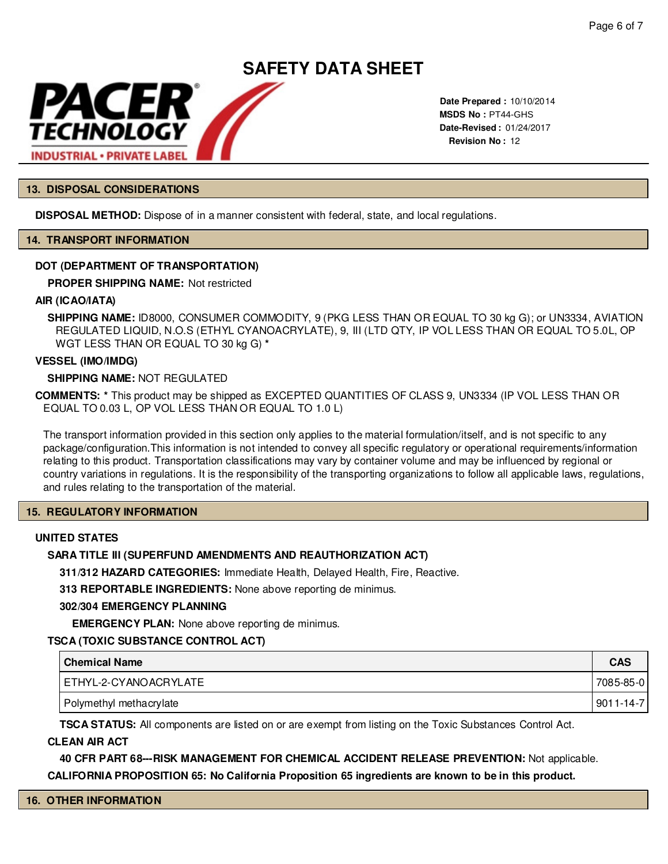

**Date Prepared :** 10/10/2014 **MSDS No : PT44-GHS Date-Revised :** 01/24/2017 **Revision No :** 12

#### **13. DISPOSAL CONSIDERATIONS**

**DISPOSAL METHOD:** Dispose of in a manner consistent with federal, state, and local regulations.

#### **14. TRANSPORT INFORMATION**

#### **DOT (DEPARTMENT OF TRANSPORTATION)**

**PROPER SHIPPING NAME:**

#### **AIR (ICAO/IATA)**

**SHIPPING NAME:** ID8000, CONSUMER COMMODITY, 9 (PKG LESS THAN OR EQUAL TO 30 kg G); or UN3334, AVIATION REGULATED LIQUID, N.O.S (ETHYL CYANOACRYLATE), 9, III (LTD QTY, IP VOL LESS THAN OR EQUAL TO 5.0L, OP WGT LESS THAN OR EQUAL TO 30 kg G) **\***

#### **VESSEL (IMO/IMDG)**

#### **SHIPPING NAME:** NOT REGULATED

**COMMENTS: \*** This product may be shipped as EXCEPTED QUANTITIES OF CLASS 9, UN3334 (IP VOL LESS THAN OR EQUAL TO 0.03 L, OP VOL LESS THAN OR EQUAL TO 1.0 L)

The transport information provided in this section only applies to the material formulation/itself, and is not specific to any package/configuration.This information is not intended to convey all specific regulatory or operational requirements/information relating to this product. Transportation classifications may vary by container volume and may be influenced by regional or country variations in regulations. It is the responsibility of the transporting organizations to follow all applicable laws, regulations, and rules relating to the transportation of the material.

#### **15. REGULATORY INFORMATION**

#### **UNITED STATES**

#### **SARA TITLE III (SUPERFUND AMENDMENTS AND REAUTHORIZATION ACT)**

**311/312 HAZARD CATEGORIES:** Immediate Health, Delayed Health, Fire, Reactive.

**313 REPORTABLE INGREDIENTS:** None above reporting de minimus.

#### **302/304 EMERGENCY PLANNING**

**EMERGENCY PLAN:** None above reporting de minimus.

#### **TSCA (TOXIC SUBSTANCE CONTROL ACT)**

| Chemical Name           | <b>CAS</b>      |
|-------------------------|-----------------|
| ETHYL-2-CYANOACRYLATE   | 7085-85-0       |
| Polymethyl methacrylate | $9011 - 14 - 7$ |

**TSCA STATUS:** All components are listed on or are exempt from listing on the Toxic Substances Control Act.

#### **CLEAN AIR ACT**

**40 CFR PART 68---RISK MANAGEMENT FOR CHEMICAL ACCIDENT RELEASE PREVENTION:** Not applicable.

**CALIFORNIA PROPOSITION 65: No California Proposition 65 ingredients are known to be in this product.**